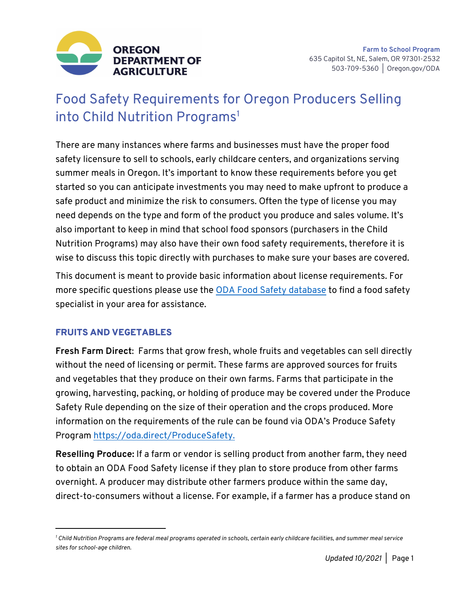

# Food Safety Requirements for Oregon Producers Selling into Child Nutrition Programs<sup>1</sup>

There are many instances where farms and businesses must have the proper food safety licensure to sell to schools, early childcare centers, and organizations serving summer meals in Oregon. It's important to know these requirements before you get started so you can anticipate investments you may need to make upfront to produce a safe product and minimize the risk to consumers. Often the type of license you may need depends on the type and form of the product you produce and sales volume. It's also important to keep in mind that school food sponsors (purchasers in the Child Nutrition Programs) may also have their own food safety requirements, therefore it is wise to discuss this topic directly with purchases to make sure your bases are covered.

This document is meant to provide basic information about license requirements. For more specific questions please use the ODA Food Safety database to find a food safety specialist in your area for assistance.

## FRUITS AND VEGETABLES

**Fresh Farm Direct**: Farms that grow fresh, whole fruits and vegetables can sell directly without the need of licensing or permit. These farms are approved sources for fruits and vegetables that they produce on their own farms. Farms that participate in the growing, harvesting, packing, or holding of produce may be covered under the Produce Safety Rule depending on the size of their operation and the crops produced. More information on the requirements of the rule can be found via ODA's Produce Safety Program https://oda.direct/ProduceSafety.

**Reselling Produce:** If a farm or vendor is selling product from another farm, they need to obtain an ODA Food Safety license if they plan to store produce from other farms overnight. A producer may distribute other farmers produce within the same day, direct-to-consumers without a license. For example, if a farmer has a produce stand on

*<sup>1</sup> Child Nutrition Programs are federal meal programs operated in schools, certain early childcare facilities, and summer meal service sites for school-age children.*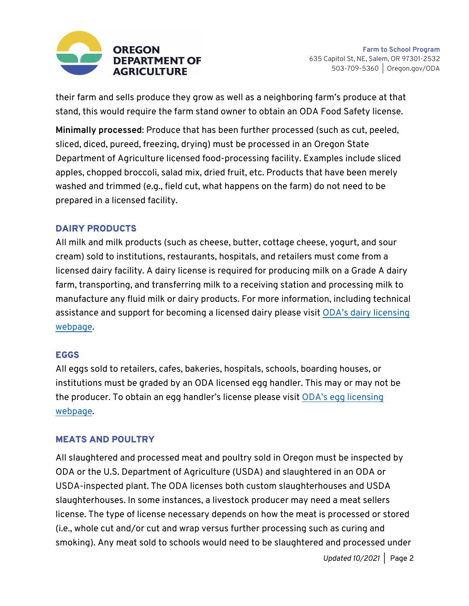

their farm and sells produce they grow as well as a neighboring farm's produce at that stand, this would require the farm stand owner to obtain an ODA Food Safety license.

**Minimally processed**: Produce that has been further processed (such as cut, peeled, sliced, diced, pureed, freezing, drying) must be processed in an Oregon State Department of Agriculture licensed food-processing facility. Examples include sliced apples, chopped broccoli, salad mix, dried fruit, etc. Products that have been merely washed and trimmed (e.g., field cut, what happens on the farm) do not need to be prepared in a licensed facility.

#### DAIRY PRODUCTS

All milk and milk products (such as cheese, butter, cottage cheese, yogurt, and sour cream) sold to institutions, restaurants, hospitals, and retailers must come from a licensed dairy facility. A dairy license is required for producing milk on a Grade A dairy farm, transporting, and transferring milk to a receiving station and processing milk to manufacture any fluid milk or dairy products. For more information, including technical assistance and support for becoming a licensed dairy please visit ODA's dairy licensing webpage.

#### **EGGS**

All eggs sold to retailers, cafes, bakeries, hospitals, schools, boarding houses, or institutions must be graded by an ODA licensed egg handler. This may or may not be the producer. To obtain an egg handler's license please visit ODA's egg licensing webpage.

## MEATS AND POULTRY

All slaughtered and processed meat and poultry sold in Oregon must be inspected by ODA or the U.S. Department of Agriculture (USDA) and slaughtered in an ODA or USDA-inspected plant. The ODA licenses both custom slaughterhouses and USDA slaughterhouses. In some instances, a livestock producer may need a meat sellers license. The type of license necessary depends on how the meat is processed or stored (i.e., whole cut and/or cut and wrap versus further processing such as curing and smoking). Any meat sold to schools would need to be slaughtered and processed under

*Updated 10/2021 |* Page 2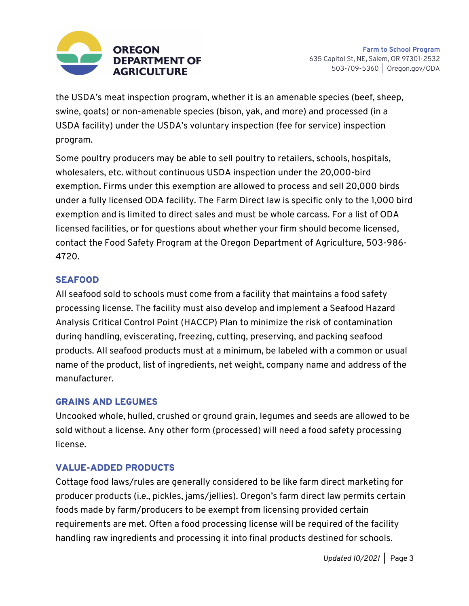

the USDA's meat inspection program, whether it is an amenable species (beef, sheep, swine, goats) or non-amenable species (bison, yak, and more) and processed (in a USDA facility) under the USDA's voluntary inspection (fee for service) inspection program.

Some poultry producers may be able to sell poultry to retailers, schools, hospitals, wholesalers, etc. without continuous USDA inspection under the 20,000-bird exemption. Firms under this exemption are allowed to process and sell 20,000 birds under a fully licensed ODA facility. The Farm Direct law is specific only to the 1,000 bird exemption and is limited to direct sales and must be whole carcass. For a list of ODA licensed facilities, or for questions about whether your firm should become licensed, contact the Food Safety Program at the Oregon Department of Agriculture, 503-986- 4720.

## SEAFOOD

All seafood sold to schools must come from a facility that maintains a food safety processing license. The facility must also develop and implement a Seafood Hazard Analysis Critical Control Point (HACCP) Plan to minimize the risk of contamination during handling, eviscerating, freezing, cutting, preserving, and packing seafood products. All seafood products must at a minimum, be labeled with a common or usual name of the product, list of ingredients, net weight, company name and address of the manufacturer.

#### GRAINS AND LEGUMES

Uncooked whole, hulled, crushed or ground grain, legumes and seeds are allowed to be sold without a license. Any other form (processed) will need a food safety processing license.

#### VALUE-ADDED PRODUCTS

Cottage food laws/rules are generally considered to be like farm direct marketing for producer products (i.e., pickles, jams/jellies). Oregon's farm direct law permits certain foods made by farm/producers to be exempt from licensing provided certain requirements are met. Often a food processing license will be required of the facility handling raw ingredients and processing it into final products destined for schools.